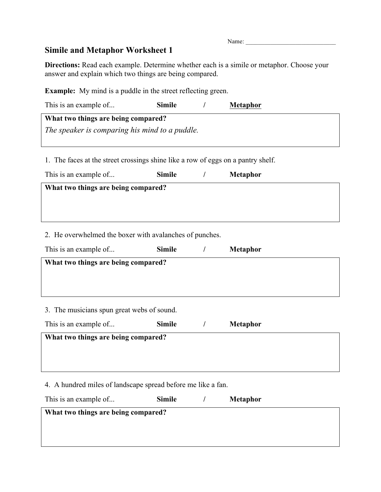## **Simile and Metaphor Worksheet 1**

**Directions:** Read each example. Determine whether each is a simile or metaphor. Choose your answer and explain which two things are being compared.

**Example:** My mind is a puddle in the street reflecting green.

| This is an example of                                                            | Simile        | $\prime$   | <b>Metaphor</b> |  |  |
|----------------------------------------------------------------------------------|---------------|------------|-----------------|--|--|
| What two things are being compared?                                              |               |            |                 |  |  |
| The speaker is comparing his mind to a puddle.                                   |               |            |                 |  |  |
|                                                                                  |               |            |                 |  |  |
| 1. The faces at the street crossings shine like a row of eggs on a pantry shelf. |               |            |                 |  |  |
| This is an example of                                                            | <b>Simile</b> | $\sqrt{2}$ | <b>Metaphor</b> |  |  |
| What two things are being compared?                                              |               |            |                 |  |  |
|                                                                                  |               |            |                 |  |  |
|                                                                                  |               |            |                 |  |  |
| 2. He overwhelmed the boxer with avalanches of punches.                          |               |            |                 |  |  |
| This is an example of                                                            | <b>Simile</b> | $\sqrt{2}$ | <b>Metaphor</b> |  |  |
| What two things are being compared?                                              |               |            |                 |  |  |
|                                                                                  |               |            |                 |  |  |
|                                                                                  |               |            |                 |  |  |
|                                                                                  |               |            |                 |  |  |
| 3. The musicians spun great webs of sound.                                       |               |            |                 |  |  |
| $\sim$ $\sim$ $\sim$ $\sim$ $\sim$ $\sim$ $\sim$ $\sim$                          |               |            |                 |  |  |

| This is an example of               | <b>Simile</b> | <b>Metaphor</b> |
|-------------------------------------|---------------|-----------------|
| What two things are being compared? |               |                 |
|                                     |               |                 |
|                                     |               |                 |
|                                     |               |                 |

4. A hundred miles of landscape spread before me like a fan.

| This is an example of               | <b>Simile</b> | <b>Metaphor</b> |
|-------------------------------------|---------------|-----------------|
| What two things are being compared? |               |                 |
|                                     |               |                 |
|                                     |               |                 |

Name: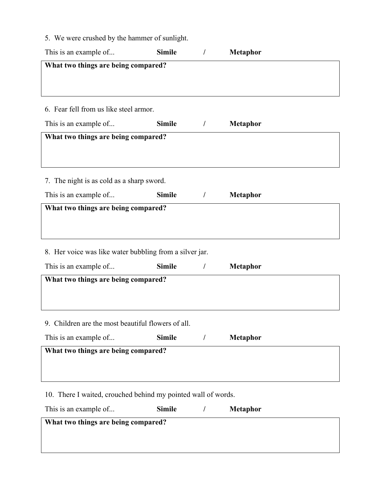5. We were crushed by the hammer of sunlight.

| This is an example of                                         | <b>Simile</b> | $\sqrt{2}$ | <b>Metaphor</b> |  |  |
|---------------------------------------------------------------|---------------|------------|-----------------|--|--|
| What two things are being compared?                           |               |            |                 |  |  |
|                                                               |               |            |                 |  |  |
|                                                               |               |            |                 |  |  |
| 6. Fear fell from us like steel armor.                        |               |            |                 |  |  |
| This is an example of                                         | <b>Simile</b> | $\sqrt{2}$ | <b>Metaphor</b> |  |  |
| What two things are being compared?                           |               |            |                 |  |  |
|                                                               |               |            |                 |  |  |
|                                                               |               |            |                 |  |  |
| 7. The night is as cold as a sharp sword.                     |               |            |                 |  |  |
| This is an example of                                         | <b>Simile</b> | $\sqrt{ }$ | <b>Metaphor</b> |  |  |
| What two things are being compared?                           |               |            |                 |  |  |
|                                                               |               |            |                 |  |  |
|                                                               |               |            |                 |  |  |
| 8. Her voice was like water bubbling from a silver jar.       |               |            |                 |  |  |
| This is an example of                                         | <b>Simile</b> | $\sqrt{2}$ | <b>Metaphor</b> |  |  |
| What two things are being compared?                           |               |            |                 |  |  |
|                                                               |               |            |                 |  |  |
|                                                               |               |            |                 |  |  |
| 9. Children are the most beautiful flowers of all.            |               |            |                 |  |  |
| This is an example of                                         | <b>Simile</b> | $\prime$   | <b>Metaphor</b> |  |  |
| What two things are being compared?                           |               |            |                 |  |  |
|                                                               |               |            |                 |  |  |
|                                                               |               |            |                 |  |  |
| 10. There I waited, crouched behind my pointed wall of words. |               |            |                 |  |  |
| This is an example of                                         | <b>Simile</b> | /          | <b>Metaphor</b> |  |  |
| What two things are being compared?                           |               |            |                 |  |  |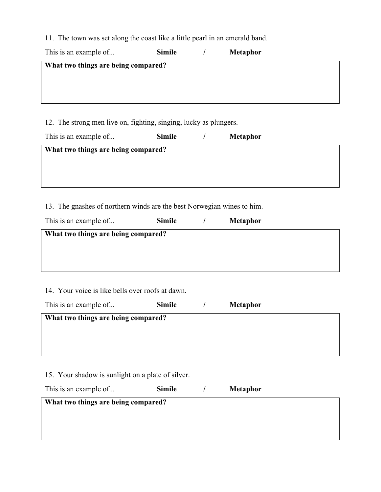11. The town was set along the coast like a little pearl in an emerald band.

| This is an example of               | <b>Simile</b> |  | <b>Metaphor</b> |  |  |  |
|-------------------------------------|---------------|--|-----------------|--|--|--|
| What two things are being compared? |               |  |                 |  |  |  |
|                                     |               |  |                 |  |  |  |
|                                     |               |  |                 |  |  |  |
|                                     |               |  |                 |  |  |  |

12. The strong men live on, fighting, singing, lucky as plungers.

| This is an example of               | <b>Simile</b> | <b>Metaphor</b> |
|-------------------------------------|---------------|-----------------|
| What two things are being compared? |               |                 |
|                                     |               |                 |
|                                     |               |                 |

13. The gnashes of northern winds are the best Norwegian wines to him.

| This is an example of                            | <b>Simile</b>                       |  | <b>Metaphor</b> |  |  |  |  |
|--------------------------------------------------|-------------------------------------|--|-----------------|--|--|--|--|
|                                                  | What two things are being compared? |  |                 |  |  |  |  |
|                                                  |                                     |  |                 |  |  |  |  |
|                                                  |                                     |  |                 |  |  |  |  |
| 14. Your voice is like bells over roofs at dawn. |                                     |  |                 |  |  |  |  |

This is an example of... **Simile** / **Metaphor What two things are being compared?**

15. Your shadow is sunlight on a plate of silver.

| This is an example of | <b>Simile</b> | <b>Metaphor</b> |  |
|-----------------------|---------------|-----------------|--|
|                       |               |                 |  |

| What two things are being compared? |  |  |  |  |  |  |  |  |
|-------------------------------------|--|--|--|--|--|--|--|--|
|                                     |  |  |  |  |  |  |  |  |
|                                     |  |  |  |  |  |  |  |  |
|                                     |  |  |  |  |  |  |  |  |